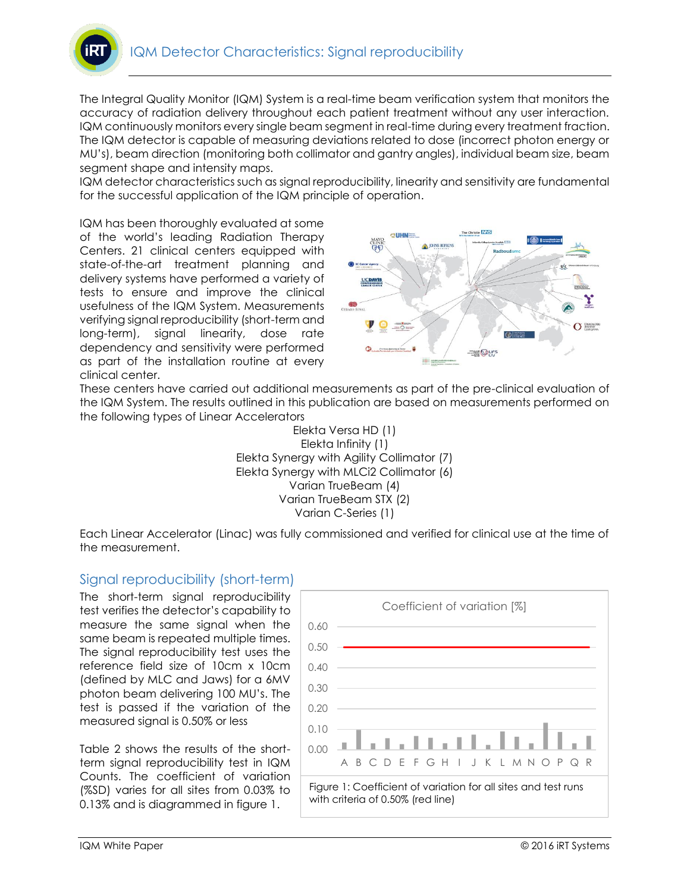

The Integral Quality Monitor (IQM) System is a real-time beam verification system that monitors the accuracy of radiation delivery throughout each patient treatment without any user interaction. IQM continuously monitors every single beam segment in real-time during every treatment fraction. The IQM detector is capable of measuring deviations related to dose (incorrect photon energy or MU's), beam direction (monitoring both collimator and gantry angles), individual beam size, beam segment shape and intensity maps.

IQM detector characteristics such as signal reproducibility, linearity and sensitivity are fundamental for the successful application of the IQM principle of operation.

IQM has been thoroughly evaluated at some of the world's leading Radiation Therapy Centers. 21 clinical centers equipped with state-of-the-art treatment planning and delivery systems have performed a variety of tests to ensure and improve the clinical usefulness of the IQM System. Measurements verifying signal reproducibility (short-term and long-term), signal linearity, dose rate dependency and sensitivity were performed as part of the installation routine at every clinical center.



These centers have carried out additional measurements as part of the pre-clinical evaluation of the IQM System. The results outlined in this publication are based on measurements performed on the following types of Linear Accelerators



Each Linear Accelerator (Linac) was fully commissioned and verified for clinical use at the time of the measurement.

## Signal reproducibility (short-term)

The short-term signal reproducibility test verifies the detector's capability to measure the same signal when the same beam is repeated multiple times. The signal reproducibility test uses the reference field size of 10cm x 10cm (defined by MLC and Jaws) for a 6MV photon beam delivering 100 MU's. The test is passed if the variation of the measured signal is 0.50% or less

Table 2 shows the results of the shortterm signal reproducibility test in IQM Counts. The coefficient of variation (%SD) varies for all sites from 0.03% to 0.13% and is diagrammed in figure 1.

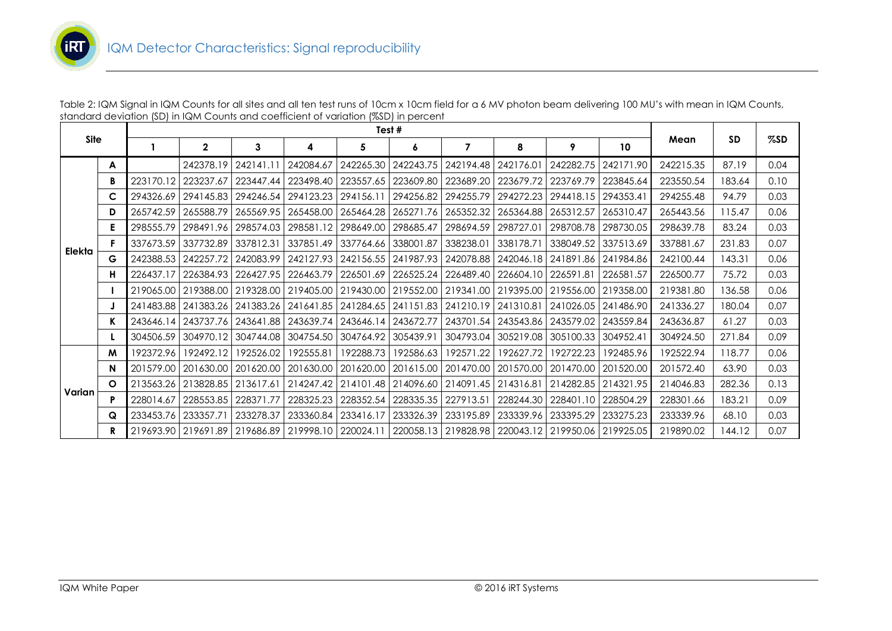

| T #                                                                                                                                                            |  |  |  |  |  |  |  |  |
|----------------------------------------------------------------------------------------------------------------------------------------------------------------|--|--|--|--|--|--|--|--|
| standard deviation (SD) in IQM Counts and coefficient of variation (%SD) in percent                                                                            |  |  |  |  |  |  |  |  |
| Table 2: IQM Signal in IQM Counts for all sites and all ten test runs of 10cm x 10cm field for a 6 MV photon beam delivering 100 MU's with mean in IQM Counts, |  |  |  |  |  |  |  |  |

|             |          | Test #    |                       |                                                                                 |                               |                               |           |                       |                       |                       |           |           |           |      |
|-------------|----------|-----------|-----------------------|---------------------------------------------------------------------------------|-------------------------------|-------------------------------|-----------|-----------------------|-----------------------|-----------------------|-----------|-----------|-----------|------|
| <b>Site</b> |          |           | $\mathbf{2}$          | 3                                                                               | 4                             | 5                             | 6         | 7                     | 8                     | 9                     | 10        | Mean      | <b>SD</b> | %SD  |
|             | A        |           | 242378.19             | 242141.11                                                                       | 242084.67                     | 242265.30                     | 242243.75 | 242194.48 242176.01   |                       | 242282.75             | 242171.90 | 242215.35 | 87.19     | 0.04 |
|             | В        | 223170.12 | 223237.67             | 223447.44                                                                       | 223498.40                     | 223557.65                     | 223609.80 | 223689.20             | 223679.72             | 223769.79             | 223845.64 | 223550.54 | 183.64    | 0.10 |
|             | C        | 294326.69 | 294145.83             | 294246.54                                                                       | 294123.23                     | 294156.11                     | 294256.82 | 294255.79             | 294272.23             | 294418.15             | 294353.41 | 294255.48 | 94.79     | 0.03 |
|             | D        | 265742.59 | 265588.79             |                                                                                 | 265569.95   265458.00         | 265464.28                     | 265271.76 |                       | 265352.32   265364.88 | 265312.57   265310.47 |           | 265443.56 | 115.47    | 0.06 |
|             | E.       | 298555.79 |                       | 298491.96 298574.03                                                             | 298581.12                     | 298649.00                     | 298685.47 | 298694.59   298727.01 |                       | 298708.78             | 298730.05 | 298639.78 | 83.24     | 0.03 |
| Elekta      | F        | 337673.59 | 337732.89             | 337812.31                                                                       |                               | 337851.49 337764.66           | 338001.87 | 338238.01             | 338178.71             | 338049.52 337513.69   |           | 337881.67 | 231.83    | 0.07 |
|             | G        | 242388.53 | 242257.72             | 242083.99                                                                       |                               | 242127.93 242156.55 241987.93 |           |                       | 242078.88 242046.18   | 241891.86 241984.86   |           | 242100.44 | 143.31    | 0.06 |
|             | н        | 226437.17 |                       | 226384.93   226427.95   226463.79   226501.69                                   |                               |                               | 226525.24 |                       | 226489.40   226604.10 | 226591.81   226581.57 |           | 226500.77 | 75.72     | 0.03 |
|             |          | 219065.00 | 219388.00             | 219328.00   219405.00   219430.00                                               |                               |                               | 219552.00 |                       | 219341.00 219395.00   | 219556.00 219358.00   |           | 219381.80 | 136.58    | 0.06 |
|             |          | 241483.88 | 241383.26 241383.26   |                                                                                 | 241641.85 241284.65 241151.83 |                               |           | 241210.19   241310.81 |                       | 241026.05 241486.90   |           | 241336.27 | 180.04    | 0.07 |
|             | K        | 243646.14 |                       | 243737.76   243641.88   243639.74   243646.14                                   |                               |                               | 243672.77 |                       | 243701.54 243543.86   | 243579.02 243559.84   |           | 243636.87 | 61.27     | 0.03 |
|             | L        | 304506.59 | 304970.12             |                                                                                 | 304744.08 304754.50           | 304764.92                     | 305439.91 |                       | 304793.04 305219.08   | 305100.33 304952.41   |           | 304924.50 | 271.84    | 0.09 |
|             | M        | 192372.96 | 192492.12             | 192526.02                                                                       | 192555.81                     | 192288.73                     | 192586.63 | 192571.22             | 192627.72             | 192722.23             | 192485.96 | 192522.94 | 118.77    | 0.06 |
|             | N        | 201579.00 | 201630.00             | 201620.00                                                                       | 201630.00                     | 201620.00                     | 201615.00 |                       | 201470.00   201570.00 | 201470.00             | 201520.00 | 201572.40 | 63.90     | 0.03 |
|             | $\Omega$ | 213563.26 | 213828.85   213617.61 |                                                                                 |                               | 214247.42   214101.48         | 214096.60 | 214091.45   214316.81 |                       | 214282.85 214321.95   |           | 214046.83 | 282.36    | 0.13 |
| Varian      | P        | 228014.67 | 228553.85   228371.77 |                                                                                 | 228325.23                     | 228352.54                     | 228335.35 | 227913.51             | 228244.30             | 228401.10 228504.29   |           | 228301.66 | 183.21    | 0.09 |
|             | Q        | 233453.76 | 233357.71             | 233278.37                                                                       | 233360.84                     | 233416.17                     | 233326.39 |                       | 233195.89 233339.96   | 233395.29             | 233275.23 | 233339.96 | 68.10     | 0.03 |
|             | R        |           |                       | 219693.90 219691.89 219686.89 219998.10 220024.11 220058.13 219828.98 220043.12 |                               |                               |           |                       |                       | 219950.06 219925.05   |           | 219890.02 | 144.12    | 0.07 |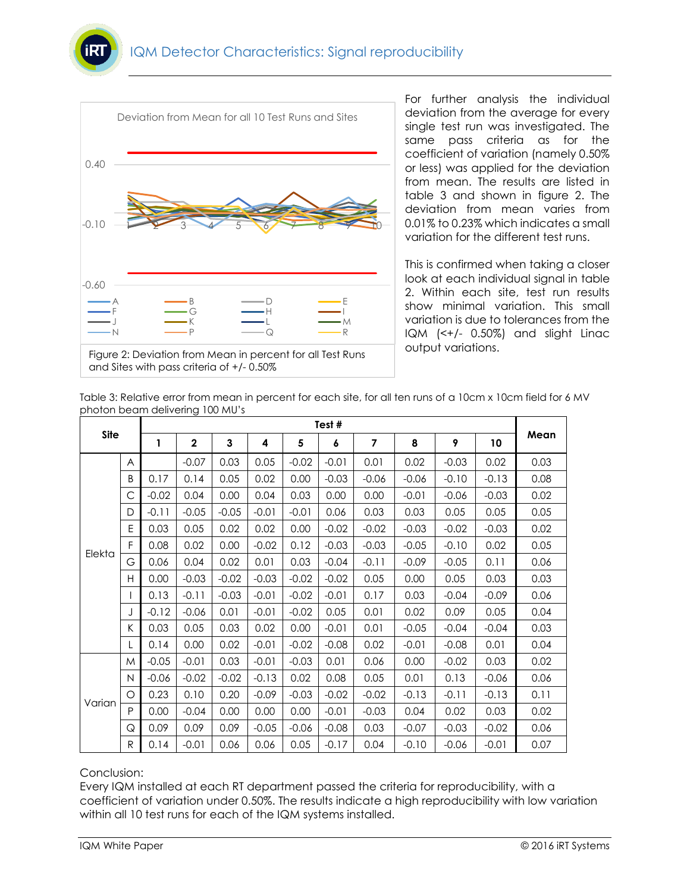



For further analysis the individual deviation from the average for every single test run was investigated. The same pass criteria as for the coefficient of variation (namely 0.50% or less) was applied for the deviation from mean. The results are listed in table 3 and shown in figure 2. The deviation from mean varies from 0.01% to 0.23% which indicates a small variation for the different test runs.

This is confirmed when taking a closer look at each individual signal in table 2. Within each site, test run results show minimal variation. This small variation is due to tolerances from the IQM (<+/- 0.50%) and slight Linac output variations.

| Table 3: Relative error from mean in percent for each site, for all ten runs of a 10cm x 10cm field for 6 MV |  |
|--------------------------------------------------------------------------------------------------------------|--|
| photon beam delivering 100 MU's                                                                              |  |

|             |   | Test#        |              |         |         |         |         |                |         |         |         |      |  |
|-------------|---|--------------|--------------|---------|---------|---------|---------|----------------|---------|---------|---------|------|--|
| <b>Site</b> |   | $\mathbf{1}$ | $\mathbf{2}$ | 3       | 4       | 5       | 6       | $\overline{7}$ | 8       | 9       | 10      | Mean |  |
|             | A |              | $-0.07$      | 0.03    | 0.05    | $-0.02$ | $-0.01$ | 0.01           | 0.02    | $-0.03$ | 0.02    | 0.03 |  |
|             | B | 0.17         | 0.14         | 0.05    | 0.02    | 0.00    | $-0.03$ | $-0.06$        | $-0.06$ | $-0.10$ | $-0.13$ | 0.08 |  |
|             | C | $-0.02$      | 0.04         | 0.00    | 0.04    | 0.03    | 0.00    | 0.00           | $-0.01$ | $-0.06$ | $-0.03$ | 0.02 |  |
|             | D | $-0.11$      | $-0.05$      | $-0.05$ | $-0.01$ | $-0.01$ | 0.06    | 0.03           | 0.03    | 0.05    | 0.05    | 0.05 |  |
|             | E | 0.03         | 0.05         | 0.02    | 0.02    | 0.00    | $-0.02$ | $-0.02$        | $-0.03$ | $-0.02$ | $-0.03$ | 0.02 |  |
|             | F | 0.08         | 0.02         | 0.00    | $-0.02$ | 0.12    | $-0.03$ | $-0.03$        | $-0.05$ | $-0.10$ | 0.02    | 0.05 |  |
| Elekta      | G | 0.06         | 0.04         | 0.02    | 0.01    | 0.03    | $-0.04$ | $-0.11$        | $-0.09$ | $-0.05$ | 0.11    | 0.06 |  |
|             | H | 0.00         | $-0.03$      | $-0.02$ | $-0.03$ | $-0.02$ | $-0.02$ | 0.05           | 0.00    | 0.05    | 0.03    | 0.03 |  |
|             |   | 0.13         | $-0.11$      | $-0.03$ | $-0.01$ | $-0.02$ | $-0.01$ | 0.17           | 0.03    | $-0.04$ | $-0.09$ | 0.06 |  |
|             | J | $-0.12$      | $-0.06$      | 0.01    | $-0.01$ | $-0.02$ | 0.05    | 0.01           | 0.02    | 0.09    | 0.05    | 0.04 |  |
|             | K | 0.03         | 0.05         | 0.03    | 0.02    | 0.00    | $-0.01$ | 0.01           | $-0.05$ | $-0.04$ | $-0.04$ | 0.03 |  |
|             | L | 0.14         | 0.00         | 0.02    | $-0.01$ | $-0.02$ | $-0.08$ | 0.02           | $-0.01$ | $-0.08$ | 0.01    | 0.04 |  |
|             | M | $-0.05$      | $-0.01$      | 0.03    | $-0.01$ | $-0.03$ | 0.01    | 0.06           | 0.00    | $-0.02$ | 0.03    | 0.02 |  |
|             | N | $-0.06$      | $-0.02$      | $-0.02$ | $-0.13$ | 0.02    | 0.08    | 0.05           | 0.01    | 0.13    | $-0.06$ | 0.06 |  |
|             | O | 0.23         | 0.10         | 0.20    | $-0.09$ | $-0.03$ | $-0.02$ | $-0.02$        | $-0.13$ | $-0.11$ | $-0.13$ | 0.11 |  |
| Varian      | P | 0.00         | $-0.04$      | 0.00    | 0.00    | 0.00    | $-0.01$ | $-0.03$        | 0.04    | 0.02    | 0.03    | 0.02 |  |
|             | Q | 0.09         | 0.09         | 0.09    | $-0.05$ | $-0.06$ | $-0.08$ | 0.03           | $-0.07$ | $-0.03$ | $-0.02$ | 0.06 |  |
|             | R | 0.14         | $-0.01$      | 0.06    | 0.06    | 0.05    | $-0.17$ | 0.04           | $-0.10$ | $-0.06$ | $-0.01$ | 0.07 |  |

## Conclusion:

Every IQM installed at each RT department passed the criteria for reproducibility, with a coefficient of variation under 0.50%. The results indicate a high reproducibility with low variation within all 10 test runs for each of the IQM systems installed.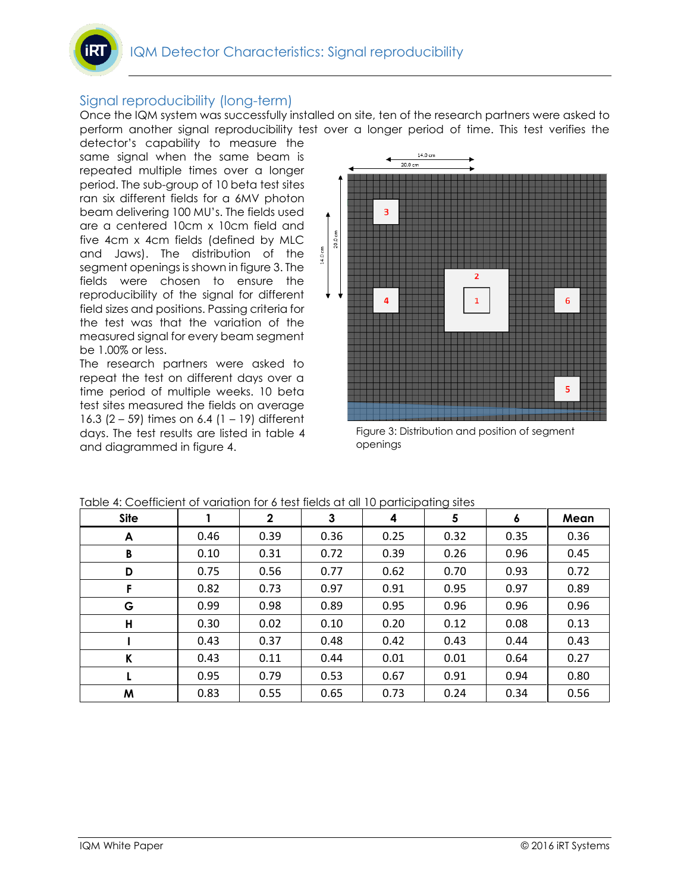## Signal reproducibility (long-term)

Once the IQM system was successfully installed on site, ten of the research partners were asked to perform another signal reproducibility test over a longer period of time. This test verifies the

detector's capability to measure the same signal when the same beam is repeated multiple times over a longer period. The sub-group of 10 beta test sites ran six different fields for a 6MV photon beam delivering 100 MU's. The fields used are a centered 10cm x 10cm field and five 4cm x 4cm fields (defined by MLC and Jaws). The distribution of the segment openings is shown in figure 3. The fields were chosen to ensure the reproducibility of the signal for different field sizes and positions. Passing criteria for the test was that the variation of the measured signal for every beam segment be 1.00% or less.

The research partners were asked to repeat the test on different days over a time period of multiple weeks. 10 beta test sites measured the fields on average 16.3 (2 – 59) times on 6.4 (1 – 19) different days. The test results are listed in table 4 and diagrammed in figure 4.



Figure 3: Distribution and position of segment openings

| <u>rapie 4. Coemcient of valiation for a lest lielas at all to participating sites</u> |      |              |      |      |      |      |      |  |
|----------------------------------------------------------------------------------------|------|--------------|------|------|------|------|------|--|
| <b>Site</b>                                                                            |      | $\mathbf{2}$ | 3    | 4    | 5    | 6    | Mean |  |
| A                                                                                      | 0.46 | 0.39         | 0.36 | 0.25 | 0.32 | 0.35 | 0.36 |  |
| В                                                                                      | 0.10 | 0.31         | 0.72 | 0.39 | 0.26 | 0.96 | 0.45 |  |
| D                                                                                      | 0.75 | 0.56         | 0.77 | 0.62 | 0.70 | 0.93 | 0.72 |  |
| F                                                                                      | 0.82 | 0.73         | 0.97 | 0.91 | 0.95 | 0.97 | 0.89 |  |
| G                                                                                      | 0.99 | 0.98         | 0.89 | 0.95 | 0.96 | 0.96 | 0.96 |  |
| Н                                                                                      | 0.30 | 0.02         | 0.10 | 0.20 | 0.12 | 0.08 | 0.13 |  |
|                                                                                        | 0.43 | 0.37         | 0.48 | 0.42 | 0.43 | 0.44 | 0.43 |  |
| K                                                                                      | 0.43 | 0.11         | 0.44 | 0.01 | 0.01 | 0.64 | 0.27 |  |
|                                                                                        | 0.95 | 0.79         | 0.53 | 0.67 | 0.91 | 0.94 | 0.80 |  |
| M                                                                                      | 0.83 | 0.55         | 0.65 | 0.73 | 0.24 | 0.34 | 0.56 |  |

|  | Table 4: Coefficient of variation for 6 test fields at all 10 participating sites |
|--|-----------------------------------------------------------------------------------|
|  |                                                                                   |